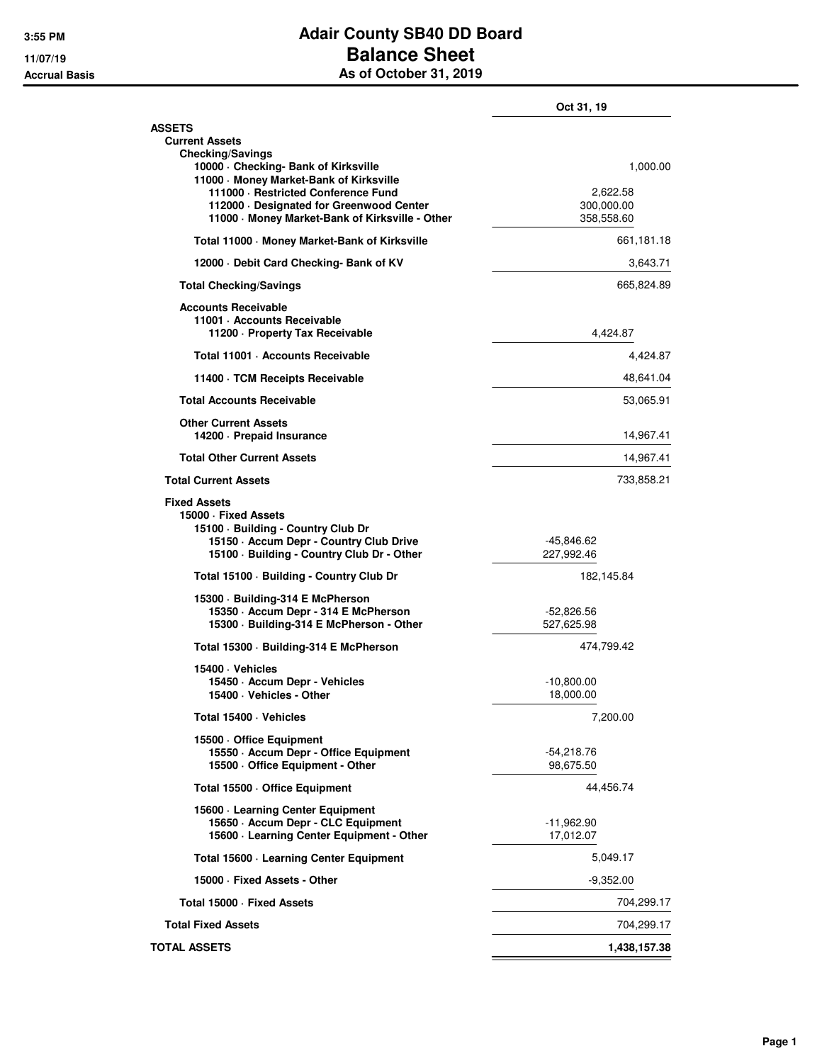## **3:55 PM Adair County SB40 DD Board 11/07/19 Balance Sheet Accrual Basis As of October 31, 2019**

|                                                                                                                                                                            | Oct 31, 19                           |            |
|----------------------------------------------------------------------------------------------------------------------------------------------------------------------------|--------------------------------------|------------|
| <b>ASSETS</b><br><b>Current Assets</b><br><b>Checking/Savings</b>                                                                                                          |                                      |            |
| 10000 Checking- Bank of Kirksville<br>11000 Money Market-Bank of Kirksville                                                                                                |                                      | 1,000.00   |
| 111000 · Restricted Conference Fund<br>112000 Designated for Greenwood Center<br>11000 Money Market-Bank of Kirksville - Other                                             | 2,622.58<br>300,000.00<br>358,558.60 |            |
| Total 11000 - Money Market-Bank of Kirksville                                                                                                                              | 661,181.18                           |            |
| 12000 Debit Card Checking- Bank of KV                                                                                                                                      |                                      | 3,643.71   |
| <b>Total Checking/Savings</b>                                                                                                                                              |                                      | 665,824.89 |
| <b>Accounts Receivable</b><br>11001 - Accounts Receivable<br>11200 - Property Tax Receivable                                                                               | 4,424.87                             |            |
| Total 11001 · Accounts Receivable                                                                                                                                          |                                      | 4,424.87   |
| 11400 TCM Receipts Receivable                                                                                                                                              |                                      | 48,641.04  |
| <b>Total Accounts Receivable</b>                                                                                                                                           |                                      | 53,065.91  |
| <b>Other Current Assets</b><br>14200 - Prepaid Insurance                                                                                                                   |                                      | 14,967.41  |
| <b>Total Other Current Assets</b>                                                                                                                                          |                                      | 14,967.41  |
| <b>Total Current Assets</b>                                                                                                                                                |                                      | 733,858.21 |
| <b>Fixed Assets</b><br>15000 · Fixed Assets<br>15100 · Building - Country Club Dr<br>15150 - Accum Depr - Country Club Drive<br>15100 · Building - Country Club Dr - Other | -45,846.62<br>227,992.46             |            |
| Total 15100 · Building - Country Club Dr                                                                                                                                   | 182,145.84                           |            |
| 15300 - Building-314 E McPherson<br>15350 - Accum Depr - 314 E McPherson<br>15300 · Building-314 E McPherson - Other                                                       | -52,826.56<br>527,625.98             |            |
| Total 15300 Building-314 E McPherson                                                                                                                                       | 474,799.42                           |            |
| 15400 · Vehicles<br>15450 - Accum Depr - Vehicles<br>15400 · Vehicles - Other                                                                                              | -10,800.00<br>18,000.00              |            |
| Total 15400 · Vehicles                                                                                                                                                     | 7,200.00                             |            |
| 15500 Office Equipment<br>15550 - Accum Depr - Office Equipment<br>15500 Office Equipment - Other                                                                          | -54,218.76<br>98,675.50              |            |
| Total 15500 Office Equipment                                                                                                                                               | 44,456.74                            |            |
| 15600 · Learning Center Equipment                                                                                                                                          |                                      |            |
| 15650 - Accum Depr - CLC Equipment<br>15600 - Learning Center Equipment - Other                                                                                            | $-11,962.90$<br>17,012.07            |            |
| Total 15600 - Learning Center Equipment                                                                                                                                    | 5,049.17                             |            |
| 15000 Fixed Assets - Other                                                                                                                                                 | $-9,352.00$                          |            |
| Total 15000 - Fixed Assets                                                                                                                                                 | 704,299.17                           |            |
| <b>Total Fixed Assets</b>                                                                                                                                                  | 704,299.17                           |            |
| <b>TOTAL ASSETS</b>                                                                                                                                                        | 1,438,157.38                         |            |